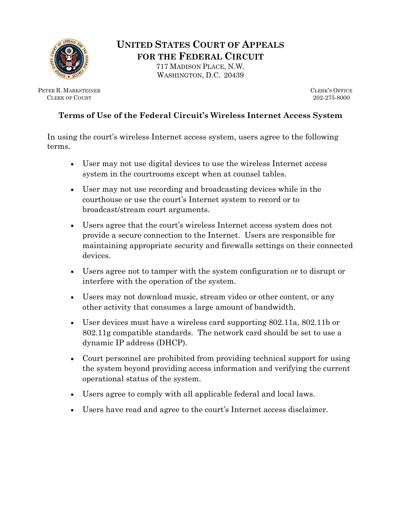

**UNITED STATES COURT OF APPEALS FOR THE FEDERAL CIRCUIT** 717 MADISON PLACE, N.W.

WASHINGTON, D.C. 20439

PETER R. MARKSTEINER CLERK OF COURT

CLERK'S OFFICE 202-275-8000

## **Terms of Use of the Federal Circuit's Wireless Internet Access System**

In using the court's wireless Internet access system, users agree to the following terms.

- User may not use digital devices to use the wireless Internet access system in the courtrooms except when at counsel tables.
- User may not use recording and broadcasting devices while in the courthouse or use the court's Internet system to record or to broadcast/stream court arguments.
- Users agree that the court's wireless Internet access system does not provide a secure connection to the Internet. Users are responsible for maintaining appropriate security and firewalls settings on their connected devices.
- Users agree not to tamper with the system configuration or to disrupt or interfere with the operation of the system.
- Users may not download music, stream video or other content, or any other activity that consumes a large amount of bandwidth.
- User devices must have a wireless card supporting 802.11a, 802.11b or 802.11g compatible standards. The network card should be set to use a dynamic IP address (DHCP).
- Court personnel are prohibited from providing technical support for using the system beyond providing access information and verifying the current operational status of the system.
- Users agree to comply with all applicable federal and local laws.
- Users have read and agree to the court's Internet access disclaimer.